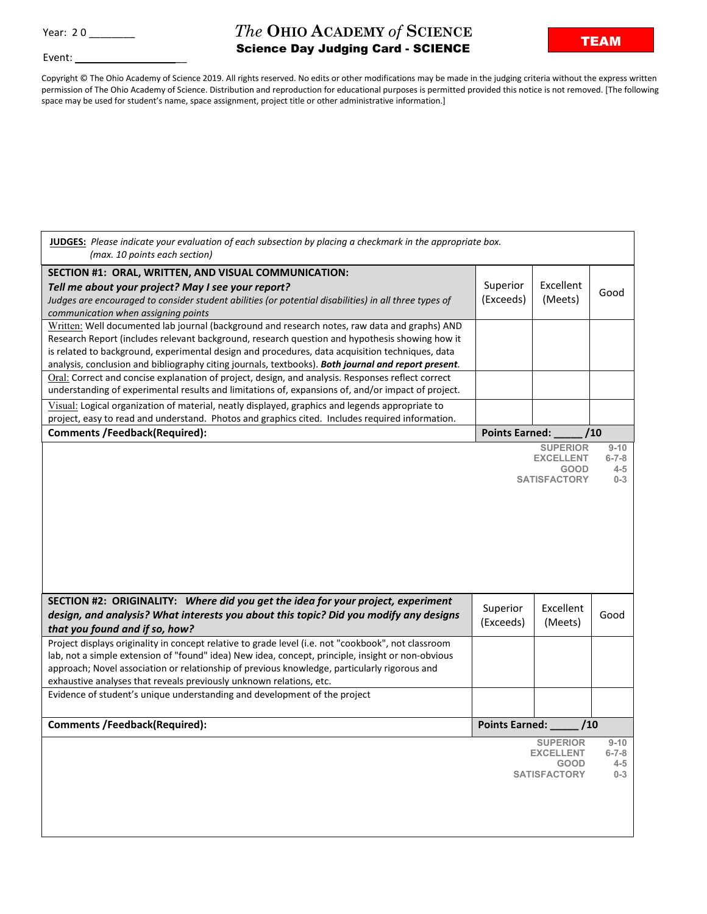Event:

## **The OHIO ACADEMY of SCIENCE**<br> **TEAM**Soines Dove Ludging Card - SCIENCE Science Day Judging Card - SCIENCE

Copyright © The Ohio Academy of Science 2019. All rights reserved. No edits or other modifications may be made in the judging criteria without the express written permission of The Ohio Academy of Science. Distribution and reproduction for educational purposes is permitted provided this notice is not removed. [The following space may be used for student's name, space assignment, project title or other administrative information.]

| JUDGES: Please indicate your evaluation of each subsection by placing a checkmark in the appropriate box.<br>(max. 10 points each section)                                                                                                                                                                                                                                                                                                                   |                             |                                                                           |                                               |
|--------------------------------------------------------------------------------------------------------------------------------------------------------------------------------------------------------------------------------------------------------------------------------------------------------------------------------------------------------------------------------------------------------------------------------------------------------------|-----------------------------|---------------------------------------------------------------------------|-----------------------------------------------|
| SECTION #1: ORAL, WRITTEN, AND VISUAL COMMUNICATION:<br>Tell me about your project? May I see your report?<br>Judges are encouraged to consider student abilities (or potential disabilities) in all three types of<br>communication when assigning points                                                                                                                                                                                                   | Superior<br>(Exceeds)       | Excellent<br>(Meets)                                                      | Good                                          |
| Written: Well documented lab journal (background and research notes, raw data and graphs) AND<br>Research Report (includes relevant background, research question and hypothesis showing how it<br>is related to background, experimental design and procedures, data acquisition techniques, data<br>analysis, conclusion and bibliography citing journals, textbooks). Both journal and report present.                                                    |                             |                                                                           |                                               |
| Oral: Correct and concise explanation of project, design, and analysis. Responses reflect correct<br>understanding of experimental results and limitations of, expansions of, and/or impact of project.                                                                                                                                                                                                                                                      |                             |                                                                           |                                               |
| Visual: Logical organization of material, neatly displayed, graphics and legends appropriate to<br>project, easy to read and understand. Photos and graphics cited. Includes required information.                                                                                                                                                                                                                                                           |                             |                                                                           |                                               |
| <b>Comments /Feedback(Required):</b>                                                                                                                                                                                                                                                                                                                                                                                                                         | <b>Points Earned:</b>       |                                                                           | /10                                           |
| SECTION #2: ORIGINALITY: Where did you get the idea for your project, experiment                                                                                                                                                                                                                                                                                                                                                                             |                             | <b>SUPERIOR</b><br><b>EXCELLENT</b><br><b>GOOD</b><br><b>SATISFACTORY</b> | $9 - 10$<br>$6 - 7 - 8$<br>$4 - 5$<br>$0 - 3$ |
| design, and analysis? What interests you about this topic? Did you modify any designs<br>that you found and if so, how?                                                                                                                                                                                                                                                                                                                                      | Superior<br>(Exceeds)       | Excellent<br>(Meets)                                                      | Good                                          |
| Project displays originality in concept relative to grade level (i.e. not "cookbook", not classroom<br>lab, not a simple extension of "found" idea) New idea, concept, principle, insight or non-obvious<br>approach; Novel association or relationship of previous knowledge, particularly rigorous and<br>exhaustive analyses that reveals previously unknown relations, etc.<br>Evidence of student's unique understanding and development of the project |                             |                                                                           |                                               |
| <b>Comments /Feedback(Required):</b>                                                                                                                                                                                                                                                                                                                                                                                                                         |                             |                                                                           |                                               |
|                                                                                                                                                                                                                                                                                                                                                                                                                                                              | Points Earned: _____<br>/10 |                                                                           |                                               |
|                                                                                                                                                                                                                                                                                                                                                                                                                                                              |                             |                                                                           |                                               |
|                                                                                                                                                                                                                                                                                                                                                                                                                                                              |                             | <b>SUPERIOR</b><br><b>EXCELLENT</b><br><b>GOOD</b><br><b>SATISFACTORY</b> | $9 - 10$<br>$6 - 7 - 8$<br>$4 - 5$<br>$0 - 3$ |